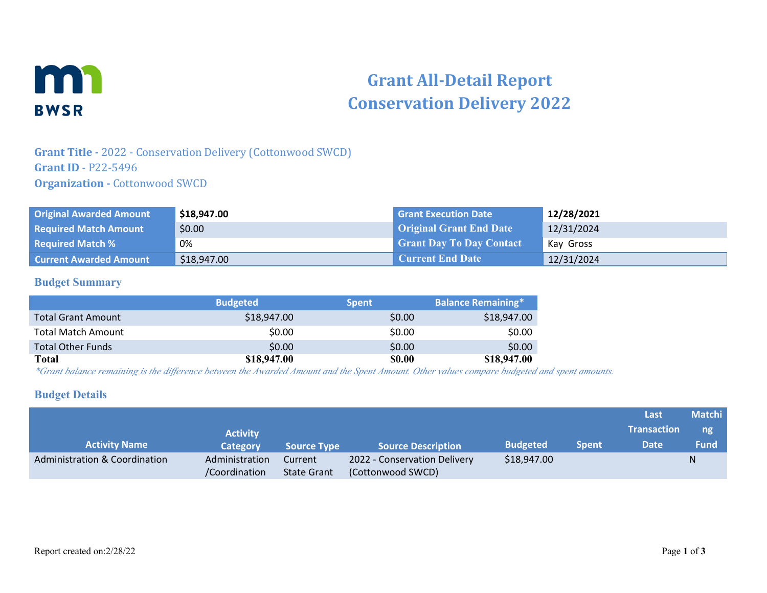

# **Grant All-Detail Report Conservation Delivery 2022**

## **Grant Title -** 2022 - Conservation Delivery (Cottonwood SWCD) **Grant ID** - P22-5496 **Organization - Cottonwood SWCD**

| <b>Original Awarded Amount</b> | \$18,947.00 | <b>Grant Execution Date</b>     | 12/28/2021 |
|--------------------------------|-------------|---------------------------------|------------|
| <b>Required Match Amount</b>   | \$0.00      | <b>Original Grant End Date</b>  | 12/31/2024 |
| <b>Required Match %</b>        | 0%          | <b>Grant Day To Day Contact</b> | Kay Gross  |
| <b>Current Awarded Amount</b>  | \$18,947.00 | <b>Current End Date</b>         | 12/31/2024 |

#### **Budget Summary**

|                           | <b>Budgeted</b> | <b>Spent</b>  | <b>Balance Remaining*</b> |
|---------------------------|-----------------|---------------|---------------------------|
| <b>Total Grant Amount</b> | \$18,947.00     | \$0.00        | \$18,947.00               |
| <b>Total Match Amount</b> | \$0.00          | \$0.00        | \$0.00                    |
| <b>Total Other Funds</b>  | \$0.00          | \$0.00        | \$0.00                    |
| Total                     | \$18,947.00     | <b>\$0.00</b> | \$18,947.00               |

*\*Grant balance remaining is the difference between the Awarded Amount and the Spent Amount. Other values compare budgeted and spent amounts.*

#### **Budget Details**

|                               |                 |                    |                              |                 |              | Last               | <b>Matchi</b> |
|-------------------------------|-----------------|--------------------|------------------------------|-----------------|--------------|--------------------|---------------|
|                               | <b>Activity</b> |                    |                              |                 |              | <b>Transaction</b> | ng            |
| <b>Activity Name</b>          | Category        | <b>Source Type</b> | <b>Source Description</b>    | <b>Budgeted</b> | <b>Spent</b> | <b>Date</b>        | <b>Fund</b>   |
| Administration & Coordination | Administration  | Current            | 2022 - Conservation Delivery | \$18,947.00     |              |                    |               |
|                               | /Coordination   | <b>State Grant</b> | (Cottonwood SWCD)            |                 |              |                    |               |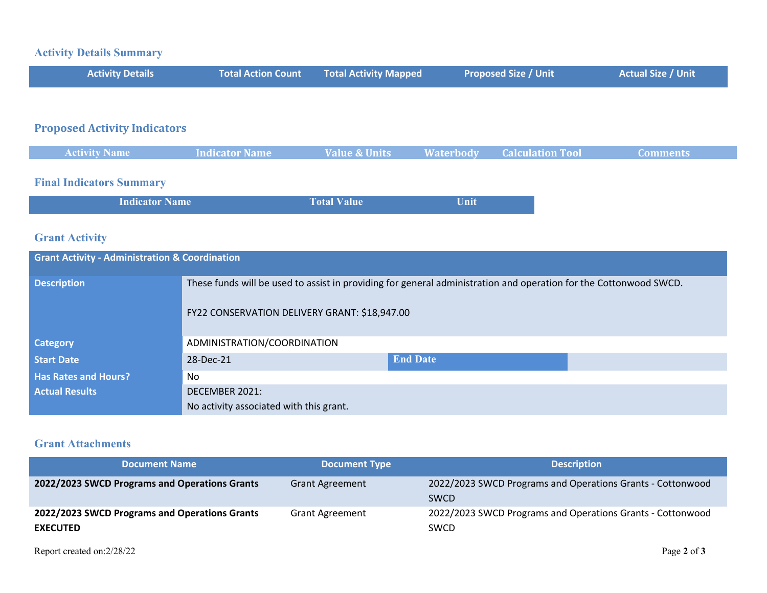## **Activity Details Summary**

| <b>Activity Details</b> | <b>Total Action Count Fotal Activity Mapped</b> | <b>Proposed Size / Unit</b> | <b>Actual Size / Unit</b> |
|-------------------------|-------------------------------------------------|-----------------------------|---------------------------|
|                         |                                                 |                             |                           |

# **Proposed Activity Indicators**

| <b>Activity Name</b> | <b>Indicator Name</b> | <b>Value &amp; Units</b> | Waterbody | <b>Calculation Tool</b> | <b>Comments</b> |
|----------------------|-----------------------|--------------------------|-----------|-------------------------|-----------------|
|                      |                       |                          |           |                         |                 |

# **Final Indicators Summary**

| <b>Indicator Name</b> | <b>Total Value</b> | Unit |
|-----------------------|--------------------|------|
|-----------------------|--------------------|------|

# **Grant Activity**

| <b>Grant Activity - Administration &amp; Coordination</b> |                                                                                                                   |                 |  |  |  |
|-----------------------------------------------------------|-------------------------------------------------------------------------------------------------------------------|-----------------|--|--|--|
| <b>Description</b>                                        | These funds will be used to assist in providing for general administration and operation for the Cottonwood SWCD. |                 |  |  |  |
|                                                           | FY22 CONSERVATION DELIVERY GRANT: \$18,947.00                                                                     |                 |  |  |  |
| <b>Category</b>                                           | ADMINISTRATION/COORDINATION                                                                                       |                 |  |  |  |
| <b>Start Date</b>                                         | 28-Dec-21                                                                                                         | <b>End Date</b> |  |  |  |
| <b>Has Rates and Hours?</b>                               | No                                                                                                                |                 |  |  |  |
| <b>Actual Results</b>                                     | DECEMBER 2021:                                                                                                    |                 |  |  |  |
|                                                           | No activity associated with this grant.                                                                           |                 |  |  |  |

### **Grant Attachments**

| <b>Document Name</b>                                             | <b>Document Type</b>   | <b>Description</b>                                                        |
|------------------------------------------------------------------|------------------------|---------------------------------------------------------------------------|
| 2022/2023 SWCD Programs and Operations Grants                    | <b>Grant Agreement</b> | 2022/2023 SWCD Programs and Operations Grants - Cottonwood<br><b>SWCD</b> |
| 2022/2023 SWCD Programs and Operations Grants<br><b>EXECUTED</b> | <b>Grant Agreement</b> | 2022/2023 SWCD Programs and Operations Grants - Cottonwood<br><b>SWCD</b> |